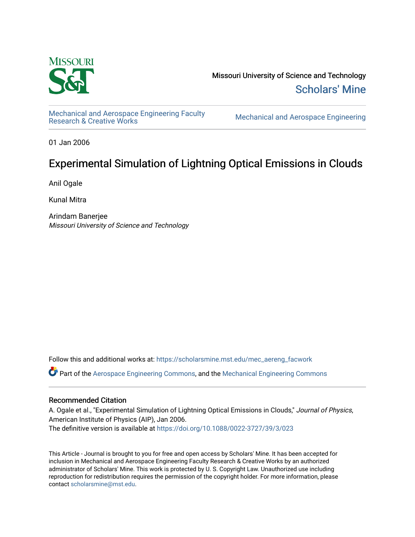

Missouri University of Science and Technology [Scholars' Mine](https://scholarsmine.mst.edu/) 

[Mechanical and Aerospace Engineering Faculty](https://scholarsmine.mst.edu/mec_aereng_facwork) 

**Mechanical and Aerospace Engineering** 

01 Jan 2006

# Experimental Simulation of Lightning Optical Emissions in Clouds

Anil Ogale

Kunal Mitra

Arindam Banerjee Missouri University of Science and Technology

Follow this and additional works at: [https://scholarsmine.mst.edu/mec\\_aereng\\_facwork](https://scholarsmine.mst.edu/mec_aereng_facwork?utm_source=scholarsmine.mst.edu%2Fmec_aereng_facwork%2F3427&utm_medium=PDF&utm_campaign=PDFCoverPages) 

Part of the [Aerospace Engineering Commons](http://network.bepress.com/hgg/discipline/218?utm_source=scholarsmine.mst.edu%2Fmec_aereng_facwork%2F3427&utm_medium=PDF&utm_campaign=PDFCoverPages), and the [Mechanical Engineering Commons](http://network.bepress.com/hgg/discipline/293?utm_source=scholarsmine.mst.edu%2Fmec_aereng_facwork%2F3427&utm_medium=PDF&utm_campaign=PDFCoverPages) 

# Recommended Citation

A. Ogale et al., "Experimental Simulation of Lightning Optical Emissions in Clouds," Journal of Physics, American Institute of Physics (AIP), Jan 2006. The definitive version is available at <https://doi.org/10.1088/0022-3727/39/3/023>

This Article - Journal is brought to you for free and open access by Scholars' Mine. It has been accepted for inclusion in Mechanical and Aerospace Engineering Faculty Research & Creative Works by an authorized administrator of Scholars' Mine. This work is protected by U. S. Copyright Law. Unauthorized use including reproduction for redistribution requires the permission of the copyright holder. For more information, please contact [scholarsmine@mst.edu](mailto:scholarsmine@mst.edu).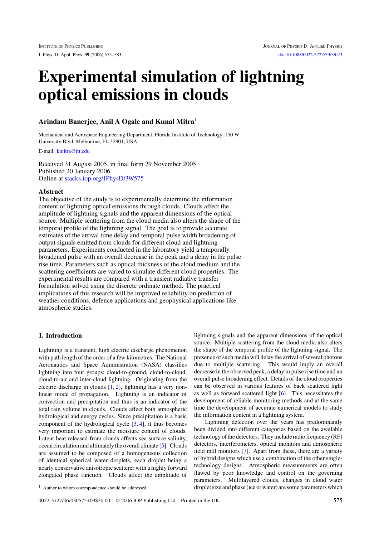J. Phys. D: Appl. Phys. **39** (2006) 575–583 [doi:10.1088/0022-3727/39/3/023](http://dx.doi.org/10.1088/0022-3727/39/3/023)

# **Experimental simulation of lightning optical emissions in clouds**

# **Arindam Banerjee, Anil A Ogale and Kunal Mitra**<sup>1</sup>

Mechanical and Aerospace Engineering Department, Florida Institute of Technology, 150 W University Blvd, Melbourne, FL 32901, USA

E-mail: [kmitra@fit.edu](mailto: kmitra@fit.edu)

Received 31 August 2005, in final form 29 November 2005 Published 20 January 2006 Online at [stacks.iop.org/JPhysD/39/575](http://stacks.iop.org/JPhysD/39/575)

#### **Abstract**

The objective of the study is to experimentally determine the information content of lightning optical emissions through clouds. Clouds affect the amplitude of lightning signals and the apparent dimensions of the optical source. Multiple scattering from the cloud media also alters the shape of the temporal profile of the lightning signal. The goal is to provide accurate estimates of the arrival time delay and temporal pulse width broadening of output signals emitted from clouds for different cloud and lightning parameters. Experiments conducted in the laboratory yield a temporally broadened pulse with an overall decrease in the peak and a delay in the pulse rise time. Parameters such as optical thickness of the cloud medium and the scattering coefficients are varied to simulate different cloud properties. The experimental results are compared with a transient radiative transfer formulation solved using the discrete ordinate method. The practical implications of this research will be improved reliability on prediction of weather conditions, defence applications and geophysical applications like atmospheric studies.

# **1. Introduction**

Lightning is a transient, high electric discharge phenomenon with path length of the order of a few kilometres. The National Aeronautics and Space Administration (NASA) classifies lightning into four groups: cloud-to-ground, cloud-to-cloud, cloud-to-air and inter-cloud lightning. Originating from the electric discharge in clouds [\[1,](#page-8-0) [2\]](#page-8-0), lightning has a very nonlinear mode of propagation. Lightning is an indicator of convection and precipitation and thus is an indicator of the total rain volume in clouds. Clouds affect both atmospheric hydrological and energy cycles. Since precipitation is a basic component of the hydrological cycle [\[3,](#page-8-0) [4\]](#page-8-0), it thus becomes very important to estimate the moisture content of clouds. Latent heat released from clouds affects sea surface salinity, ocean circulation and ultimately the overall climate [\[5\]](#page-8-0). Clouds are assumed to be composed of a homogeneous collection of identical spherical water droplets, each droplet being a nearly conservative anisotropic scatterer with a highly forward elongated phase function. Clouds affect the amplitude of

lightning signals and the apparent dimensions of the optical source. Multiple scattering from the cloud media also alters the shape of the temporal profile of the lightning signal. The presence of such media will delay the arrival of several photons due to multiple scattering. This would imply an overall decrease in the observed peak, a delay in pulse rise time and an overall pulse broadening effect. Details of the cloud properties can be observed in various features of back scattered light as well as forward scattered light [\[6\]](#page-8-0). This necessitates the development of reliable monitoring methods and at the same time the development of accurate numerical models to study the information content in a lightning system.

Lightning detection over the years has predominantly been divided into different categories based on the available technology of the detectors. They include radio frequency (RF) detectors, interferometers, optical monitors and atmospheric field mill monitors [\[7\]](#page-8-0). Apart from these, there are a variety of hybrid designs which use a combination of the other singletechnology designs. Atmospheric measurements are often flawed by poor knowledge and control on the governing parameters. Multilayered clouds, changes in cloud water droplet size and phase (ice or water) are some parameters which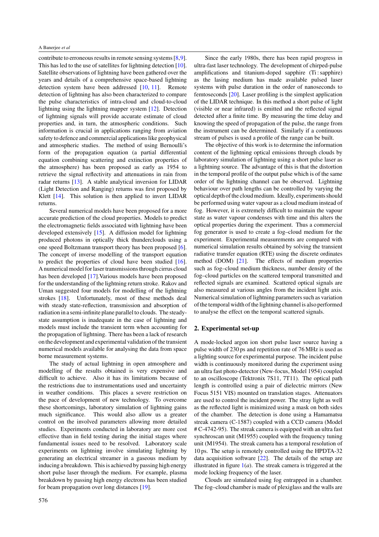contribute to erroneous results in remote sensing systems [\[8,9\]](#page-9-0). This has led to the use of satellites for lightning detection [\[10\]](#page-9-0). Satellite observations of lightning have been gathered over the years and details of a comprehensive space-based lightning detection system have been addressed [\[10,](#page-9-0) [11\]](#page-9-0). Remote detection of lightning has also been characterized to compare the pulse characteristics of intra-cloud and cloud-to-cloud lightning using the lightning mapper system [\[12\]](#page-9-0). Detection of lightning signals will provide accurate estimate of cloud properties and, in turn, the atmospheric conditions. Such information is crucial in applications ranging from aviation safety to defence and commercial applications like geophysical and atmospheric studies. The method of using Bernoulli's form of the propagation equation (a partial differential equation combining scattering and extinction properties of the atmosphere) has been proposed as early as 1954 to retrieve the signal reflectivity and attenuations in rain from radar returns [\[13\]](#page-9-0). A stable analytical inversion for LIDAR (Light Detection and Ranging) returns was first proposed by Klett [\[14\]](#page-9-0). This solution is then applied to invert LIDAR returns.

Several numerical models have been proposed for a more accurate prediction of the cloud properties. Models to predict the electromagnetic fields associated with lightning have been developed extensively [\[15\]](#page-9-0). A diffusion model for lightning produced photons in optically thick thunderclouds using a one speed Boltzmann transport theory has been proposed [\[6\]](#page-8-0). The concept of inverse modelling of the transport equation to predict the properties of cloud have been studied [\[16\]](#page-9-0). A numerical model for laser transmissions through cirrus cloud has been developed [\[17\]](#page-9-0).Various models have been proposed for the understanding of the lightning return stroke. Rakov and Uman suggested four models for modelling of the lightning strokes [\[18\]](#page-9-0). Unfortunately, most of these methods deal with steady state-reflection, transmission and absorption of radiation in a semi-infinite plane parallel to clouds. The steadystate assumption is inadequate in the case of lightning and models must include the transient term when accounting for the propagation of lightning. There has been a lack of research on the development and experimental validation of the transient numerical models available for analysing the data from space borne measurement systems.

The study of actual lightning in open atmosphere and modelling of the results obtained is very expensive and difficult to achieve. Also it has its limitations because of the restrictions due to instrumentations used and uncertainty in weather conditions. This places a severe restriction on the pace of development of new technology. To overcome these shortcomings, laboratory simulation of lightning gains much significance. This would also allow us a greater control on the involved parameters allowing more detailed studies. Experiments conducted in laboratory are more cost effective than in field testing during the initial stages where fundamental issues need to be resolved. Laboratory scale experiments on lightning involve simulating lightning by generating an electrical streamer in a gaseous medium by inducing a breakdown. This is achieved by passing high energy short pulse laser through the medium. For example, plasma breakdown by passing high energy electrons has been studied for beam propagation over long distances [\[19\]](#page-9-0).

Since the early 1980s, there has been rapid progress in ultra-fast laser technology. The development of chirped-pulse amplifications and titanium-doped sapphire (Ti : sapphire) as the lasing medium has made available pulsed laser systems with pulse duration in the order of nanoseconds to femtoseconds [\[20\]](#page-9-0). Laser profiling is the simplest application of the LIDAR technique. In this method a short pulse of light (visible or near infrared) is emitted and the reflected signal detected after a finite time. By measuring the time delay and knowing the speed of propagation of the pulse, the range from the instrument can be determined. Similarly if a continuous stream of pulses is used a profile of the range can be built.

The objective of this work is to determine the information content of the lightning optical emissions through clouds by laboratory simulation of lightning using a short pulse laser as a lightning source. The advantage of this is that the distortion in the temporal profile of the output pulse which is of the same order of the lightning channel can be observed. Lightning behaviour over path lengths can be controlled by varying the optical depth of the cloud medium. Ideally, experiments should be performed using water vapour as a cloud medium instead of fog. However, it is extremely difficult to maintain the vapour state as water vapour condenses with time and this alters the optical properties during the experiment. Thus a commercial fog generator is used to create a fog–cloud medium for the experiment. Experimental measurements are compared with numerical simulation results obtained by solving the transient radiative transfer equation (RTE) using the discrete ordinates method (DOM) [\[21\]](#page-9-0). The effects of medium properties such as fog–cloud medium thickness, number density of the fog–cloud particles on the scattered temporal transmitted and reflected signals are examined. Scattered optical signals are also measured at various angles from the incident light axis. Numerical simulation of lightning parameters such as variation of the temporal width of the lightning channel is also performed to analyse the effect on the temporal scattered signals.

## **2. Experimental set-up**

A mode-locked argon ion short pulse laser source having a pulse width of 230 ps and repetition rate of 76 MHz is used as a lighting source for experimental purpose. The incident pulse width is continuously monitored during the experiment using an ultra fast photo-detector (New-focus, Model 1954) coupled to an oscilloscope (Tektronix 7S11, 7T11). The optical path length is controlled using a pair of dielectric mirrors (New Focus 5151 VIS) mounted on translation stages. Attenuators are used to control the incident power. The stray light as well as the reflected light is minimized using a mask on both sides of the chamber. The detection is done using a Hamamatsu streak camera (C-1587) coupled with a CCD camera (Model # C-4742-95). The streak camera is equipped with an ultra fast synchroscan unit (M1955) coupled with the frequency tuning unit (M1954). The streak camera has a temporal resolution of 10 ps. The setup is remotely controlled using the HPDTA-32 data acquisition software [\[22\]](#page-9-0). The details of the setup are illustrated in figure  $1(a)$  $1(a)$ . The streak camera is triggered at the mode locking frequency of the laser.

Clouds are simulated using fog entrapped in a chamber. The fog–cloud chamber is made of plexiglass and the walls are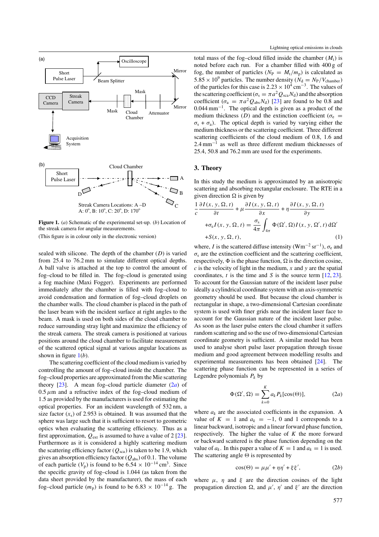<span id="page-3-0"></span>

**Figure 1.** (*a*) Schematic of the experimental set-up. (*b*) Location of the streak camera for angular measurements. (This figure is in colour only in the electronic version)

sealed with silicone. The depth of the chamber (*D*) is varied from 25.4 to 76.2 mm to simulate different optical depths. A ball valve is attached at the top to control the amount of fog–cloud to be filled in. The fog–cloud is generated using a fog machine (Maxi Fogger). Experiments are performed immediately after the chamber is filled with fog–cloud to avoid condensation and formation of fog–cloud droplets on the chamber walls. The cloud chamber is placed in the path of the laser beam with the incident surface at right angles to the beam. A mask is used on both sides of the cloud chamber to reduce surrounding stray light and maximize the efficiency of the streak camera. The streak camera is positioned at various positions around the cloud chamber to facilitate measurement of the scattered optical signal at various angular locations as shown in figure 1(*b*).

The scattering coefficient of the cloud medium is varied by controlling the amount of fog–cloud inside the chamber. The fog–cloud properties are approximated from the Mie scattering theory  $[23]$ . A mean fog-cloud particle diameter  $(2a)$  of  $0.5 \mu$ m and a refractive index of the fog-cloud medium of 1.5 as provided by the manufacturers is used for estimating the optical properties. For an incident wavelength of 532 nm, a size factor  $(x<sub>s</sub>)$  of 2.953 is obtained. It was assumed that the sphere was large such that it is sufficient to resort to geometric optics when evaluating the scattering efficiency. Thus as a first approximation, *Q*ext is assumed to have a value of 2 [\[23\]](#page-9-0). Furthermore as it is considered a highly scattering medium the scattering efficiency factor  $(Q_{sca})$  is taken to be 1.9, which gives an absorption efficiency factor (*Q*abs) of 0.1. The volume of each particle ( $V_p$ ) is found to be 6.54 × 10<sup>-14</sup> cm<sup>3</sup>. Since the specific gravity of fog–cloud is 1.044 (as taken from the data sheet provided by the manufacturer), the mass of each fog–cloud particle  $(m_p)$  is found to be 6.83 × 10<sup>-14</sup> g. The

total mass of the fog–cloud filled inside the chamber  $(M_t)$  is noted before each run. For a chamber filled with 400 g of fog, the number of particles ( $N_P = M_t/m_p$ ) is calculated as  $5.85 \times 10^9$  particles. The number density ( $N_d = N_P/V_{\text{chamber}}$ ) of the particles for this case is  $2.23 \times 10^4$  cm<sup>-3</sup>. The values of the scattering coefficient ( $\sigma_s = \pi a^2 Q_{\text{sea}} N_d$ ) and the absorption coefficient ( $\sigma_a = \pi a^2 Q_{\text{abs}} N_d$ ) [\[23\]](#page-9-0) are found to be 0.8 and 0.044 mm<sup>−</sup>1. The optical depth is given as a product of the medium thickness (*D*) and the extinction coefficient ( $\sigma_e$  =  $\sigma_s + \sigma_a$ ). The optical depth is varied by varying either the medium thickness or the scattering coefficient. Three different scattering coefficients of the cloud medium of 0.8, 1.6 and  $2.4 \text{ mm}^{-1}$  as well as three different medium thicknesses of 25.4, 50.8 and 76.2 mm are used for the experiments.

#### **3. Theory**

In this study the medium is approximated by an anisotropic scattering and absorbing rectangular enclosure. The RTE in a given direction  $\Omega$  is given by

$$
\frac{1}{c}\frac{\partial I(x, y, \Omega, t)}{\partial t} + \mu \frac{\partial I(x, y, \Omega, t)}{\partial x} + \eta \frac{\partial I(x, y, \Omega, t)}{\partial y} \n+ \sigma_e I(x, y, \Omega, t) = \frac{\sigma_s}{4\pi} \int_{4\pi} \Phi(\Omega', \Omega) I(x, y, \Omega', t) d\Omega' \n+ S(x, y, \Omega, t),
$$
\n(1)

where, *I* is the scattered diffuse intensity ( $Wm^{-2}$  sr<sup>-1</sup>),  $\sigma_e$  and  $\sigma_s$  are the extinction coefficient and the scattering coefficient, respectively,  $\Phi$  is the phase function,  $\Omega$  is the direction cosine, *c* is the velocity of light in the medium, *x* and *y* are the spatial coordinates,  $t$  is the time and  $S$  is the source term  $[12, 23]$  $[12, 23]$  $[12, 23]$ . To account for the Gaussian nature of the incident laser pulse ideally a cylindrical coordinate system with an axis-symmetric geometry should be used. But because the cloud chamber is rectangular in shape, a two-dimensional Cartesian coordinate system is used with finer grids near the incident laser face to account for the Gaussian nature of the incident laser pulse. As soon as the laser pulse enters the cloud chamber it suffers random scattering and so the use of two-dimensional Cartesian coordinate geometry is sufficient. A similar model has been used to analyse short pulse laser propagation through tissue medium and good agreement between modelling results and experimental measurements has been obtained [\[24\]](#page-9-0). The scattering phase function can be represented in a series of Legendre polynomials  $P_k$  by

$$
\Phi(\Omega', \Omega) = \sum_{k=0}^{K} a_k P_k[\cos(\Theta)], \qquad (2a)
$$

where  $a_k$  are the associated coefficients in the expansion. A value of  $K = 1$  and  $a_k = -1$ , 0 and 1 corresponds to a linear backward, isotropic and a linear forward phase function, respectively. The higher the value of *K* the more forward or backward scattered is the phase function depending on the value of  $a_k$ . In this paper a value of  $K = 1$  and  $a_k = 1$  is used. The scattering angle  $\Theta$  is represented by

$$
\cos(\Theta) = \mu \mu' + \eta \eta' + \xi \xi', \qquad (2b)
$$

where  $\mu$ ,  $\eta$  and  $\xi$  are the direction cosines of the light propagation direction  $\Omega$ , and  $\mu'$ ,  $\eta'$  and  $\xi'$  are the direction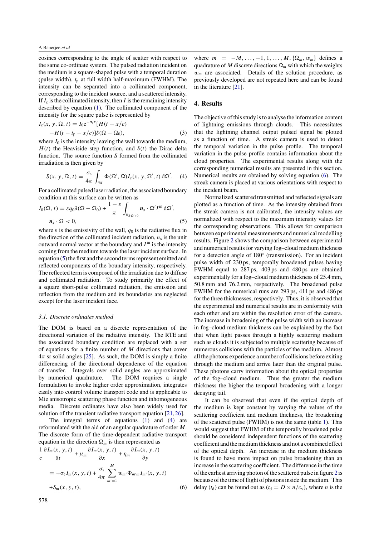cosines corresponding to the angle of scatter with respect to the same co-ordinate system. The pulsed radiation incident on the medium is a square-shaped pulse with a temporal duration (pulse width), *t*<sup>p</sup> at full width half-maximum (FWHM). The intensity can be separated into a collimated component, corresponding to the incident source, and a scattered intensity. If  $I_c$  is the collimated intensity, then *I* is the remaining intensity described by equation [\(1\)](#page-3-0). The collimated component of the intensity for the square pulse is represented by

$$
I_c(x, y, \Omega, t) = I_0 e^{-\sigma_c x} [H(t - x/c)
$$

$$
-H(t - t_p - x/c)] \delta(\Omega - \Omega_0),
$$
(3)

where  $I_0$  is the intensity leaving the wall towards the medium,  $H(t)$  the Heaviside step function, and  $\delta(t)$  the Dirac delta function. The source function *S* formed from the collimated irradiation is then given by

$$
S(x, y, \Omega, t) = \frac{\sigma_s}{4\pi} \int_{4\pi} \Phi(\Omega', \Omega) I_c(x, y, \Omega', t) d\Omega'. \quad (4)
$$

For a collimated pulsed laser radiation, the associated boundary condition at this surface can be written as

$$
I_0(\Omega, t) = \varepsilon q_0 \delta(\Omega - \Omega_0) + \frac{1 - \varepsilon}{\pi} \int_{\mathbf{n}_{s:\Omega'>0}} \mathbf{n}_s \cdot \Omega' I^{\text{in}} \, d\Omega',
$$
  

$$
\mathbf{n}_s \cdot \Omega < 0,
$$
 (5)

where  $\varepsilon$  is the emissivity of the wall,  $q_0$  is the radiative flux in the direction of the collimated incident radiation,  $n<sub>s</sub>$  is the unit outward normal vector at the boundary and  $I<sup>in</sup>$  is the intensity coming from the medium towards the laser incident surface. In equation (5) the first and the second terms represent emitted and reflected components of the boundary intensity, respectively. The reflected term is composed of the irradiation due to diffuse and collimated radiation. To study primarily the effect of a square short-pulse collimated radiation, the emission and reflection from the medium and its boundaries are neglected except for the laser incident face.

#### *3.1. Discrete ordinates method*

The DOM is based on a discrete representation of the directional variation of the radiative intensity. The RTE and the associated boundary condition are replaced with a set of equations for a finite number of *M* directions that cover  $4\pi$  sr solid angles [\[25\]](#page-9-0). As such, the DOM is simply a finite differencing of the directional dependence of the equation of transfer. Integrals over solid angles are approximated by numerical quadrature. The DOM requires a single formulation to invoke higher order approximation, integrates easily into control volume transport code and is applicable to Mie anisotropic scattering phase function and inhomogeneous media. Discrete ordinates have also been widely used for solution of the transient radiative transport equation [\[21,](#page-9-0) [26\]](#page-9-0).

The integral terms of equations [\(1\)](#page-3-0) and (4) are reformulated with the aid of an angular quadrature of order *M*. The discrete form of the time-dependent radiative transport equation in the direction  $\Omega_m$  is then represented as

$$
\frac{1}{c} \frac{\partial I_m(x, y, t)}{\partial t} + \mu_m \frac{\partial I_m(x, y, t)}{\partial x} + \eta_m \frac{\partial I_m(x, y, t)}{\partial y}
$$

$$
= -\sigma_e I_m(x, y, t) + \frac{\sigma_s}{4\pi} \sum_{m'=1}^M w_{m'} \Phi_{m'm} I_{m'}(x, y, t)
$$

$$
+S_m(x, y, t), \tag{6}
$$

where  $m = -M, ..., -1, 1, ..., M, \{\Omega_m, w_m\}$  defines a quadrature of *M* discrete directions  $\Omega_m$  with which the weights *wm* are associated. Details of the solution procedure, as previously developed are not repeated here and can be found in the literature [\[21\]](#page-9-0).

#### **4. Results**

The objective of this study is to analyse the information content of lightning emissions through clouds. This necessitates that the lightning channel output pulsed signal be plotted as a function of time. A streak camera is used to detect the temporal variation in the pulse profile. The temporal variation in the pulse profile contains information about the cloud properties. The experimental results along with the corresponding numerical results are presented in this section. Numerical results are obtained by solving equation (6). The streak camera is placed at various orientations with respect to the incident beam.

Normalized scattered transmitted and reflected signals are plotted as a function of time. As the intensity obtained from the streak camera is not calibrated, the intensity values are normalized with respect to the maximum intensity values for the corresponding observations. This allows for comparison between experimental measurements and numerical modelling results. Figure [2](#page-5-0) shows the comparison between experimental and numerical results for varying fog–cloud medium thickness for a detection angle of 180◦ (transmission). For an incident pulse width of 230 ps, temporally broadened pulses having FWHM equal to 287 ps, 403 ps and 480 ps are obtained experimentally for a fog–cloud medium thickness of 25.4 mm, 50.8 mm and 76.2 mm, respectively. The broadened pulse FWHM for the numerical runs are 293 ps, 411 ps and 486 ps for the three thicknesses, respectively. Thus, it is observed that the experimental and numerical results are in conformity with each other and are within the resolution error of the camera. The increase in broadening of the pulse width with an increase in fog–cloud medium thickness can be explained by the fact that when light passes through a highly scattering medium such as clouds it is subjected to multiple scattering because of numerous collisions with the particles of the medium. Almost all the photons experience a number of collisions before exiting through the medium and arrive later than the original pulse. These photons carry information about the optical properties of the fog–cloud medium. Thus the greater the medium thickness the higher the temporal broadening with a longer decaying tail.

It can be observed that even if the optical depth of the medium is kept constant by varying the values of the scattering coefficient and medium thickness, the broadening of the scattered pulse (FWHM) is not the same (table [1\)](#page-5-0). This would suggest that FWHM of the temporally broadened pulse should be considered independent functions of the scattering coefficient and the medium thickness and not a combined effect of the optical depth. An increase in the medium thickness is found to have more impact on pulse broadening than an increase in the scattering coefficient. The difference in the time of the earliest arriving photon of the scattered pulse in figure [2](#page-5-0) is because of the time of flight of photons inside the medium. This delay ( $t_d$ ) can be found out as ( $t_d = D \times n/c_v$ ), where *n* is the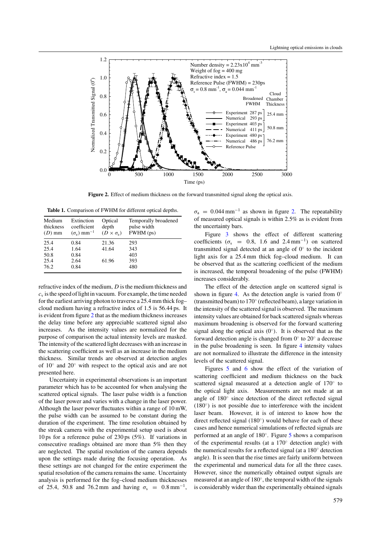<span id="page-5-0"></span>

**Figure 2.** Effect of medium thickness on the forward transmitted signal along the optical axis.

**Table 1.** Comparison of FWHM for different optical depths.

| Medium<br>thickness<br>$(D)$ mm | Extinction<br>coefficient<br>$(\sigma_e)$ mm <sup>-1</sup> | Optical<br>depth<br>$(D \times \sigma_e)$ | Temporally broadened<br>pulse width<br>FWHM (ps) |
|---------------------------------|------------------------------------------------------------|-------------------------------------------|--------------------------------------------------|
| 25.4                            | 0.84                                                       | 21.36                                     | 293                                              |
| 25.4                            | 1.64                                                       | 41.64                                     | 343                                              |
| 50.8                            | 0.84                                                       |                                           | 403                                              |
| 25.4                            | 2.64                                                       | 61.96                                     | 393                                              |
| 76.2                            | 0.84                                                       |                                           | 480                                              |

refractive index of the medium, *D* is the medium thickness and  $c<sub>v</sub>$  is the speed of light in vacuum. For example, the time needed for the earliest arriving photon to traverse a 25.4 mm thick fog– cloud medium having a refractive index of 1.5 is 56.44 ps. It is evident from figure 2 that as the medium thickness increases the delay time before any appreciable scattered signal also increases. As the intensity values are normalized for the purpose of comparison the actual intensity levels are masked. The intensity of the scattered light decreases with an increase in the scattering coefficient as well as an increase in the medium thickness. Similar trends are observed at detection angles of 10◦ and 20◦ with respect to the optical axis and are not presented here.

Uncertainty in experimental observations is an important parameter which has to be accounted for when analysing the scattered optical signals. The laser pulse width is a function of the laser power and varies with a change in the laser power. Although the laser power fluctuates within a range of 10 mW, the pulse width can be assumed to be constant during the duration of the experiment. The time resolution obtained by the streak camera with the experimental setup used is about 10 ps for a reference pulse of 230 ps (5%). If variations in consecutive readings obtained are more than 5% then they are neglected. The spatial resolution of the camera depends upon the settings made during the focusing operation. As these settings are not changed for the entire experiment the spatial resolution of the camera remains the same. Uncertainty analysis is performed for the fog–cloud medium thicknesses of 25.4, 50.8 and 76.2 mm and having  $\sigma_s = 0.8 \text{ mm}^{-1}$ ,  $\sigma_a = 0.044$  mm<sup>-1</sup> as shown in figure 2. The repeatability of measured optical signals is within 2.5% as is evident from the uncertainty bars.

Figure [3](#page-6-0) shows the effect of different scattering coefficients ( $\sigma_s$  = 0.8, 1.6 and 2.4 mm<sup>-1</sup>) on scattered transmitted signal detected at an angle of 0◦ to the incident light axis for a 25.4 mm thick fog–cloud medium. It can be observed that as the scattering coefficient of the medium is increased, the temporal broadening of the pulse (FWHM) increases considerably.

The effect of the detection angle on scattered signal is shown in figure [4.](#page-6-0) As the detection angle is varied from  $0^\circ$ (transmitted beam) to 170◦ (reflected beam), a large variation in the intensity of the scattered signal is observed. The maximum intensity values are obtained for back scattered signals whereas maximum broadening is observed for the forward scattering signal along the optical axis  $(0<sup>°</sup>)$ . It is observed that as the forward detection angle is changed from  $0°$  to  $20°$  a decrease in the pulse broadening is seen. In figure [4](#page-6-0) intensity values are not normalized to illustrate the difference in the intensity levels of the scattered signal.

Figures [5](#page-7-0) and [6](#page-7-0) show the effect of the variation of scattering coefficient and medium thickness on the back scattered signal measured at a detection angle of 170<sup>°</sup> to the optical light axis. Measurements are not made at an angle of 180◦ since detection of the direct reflected signal  $(180°)$  is not possible due to interference with the incident laser beam. However, it is of interest to know how the direct reflected signal (180◦) would behave for each of these cases and hence numerical simulations of reflected signals are performed at an angle of 180◦. Figure [5](#page-7-0) shows a comparison of the experimental results (at a 170◦ detection angle) with the numerical results for a reflected signal (at a 180◦ detection angle). It is seen that the rise times are fairly uniform between the experimental and numerical data for all the three cases. However, since the numerically obtained output signals are measured at an angle of 180◦, the temporal width of the signals is considerably wider than the experimentally obtained signals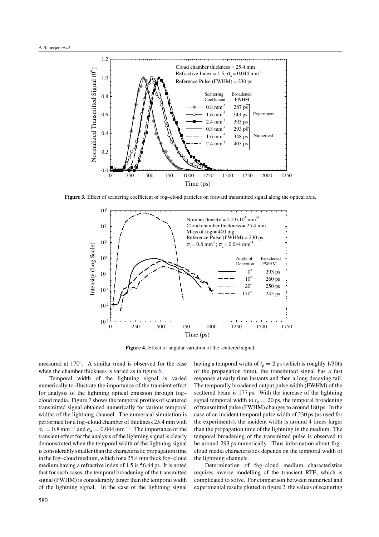<span id="page-6-0"></span>

**Figure 3.** Effect of scattering coefficient of fog–cloud particles on forward transmitted signal along the optical axis.



**Figure 4.** Effect of angular variation of the scattered signal.

measured at 170◦. A similar trend is observed for the case when the chamber thickness is varied as in figure [6.](#page-7-0)

Temporal width of the lightning signal is varied numerically to illustrate the importance of the transient effect for analysis of the lightning optical emission through fog– cloud media. Figure [7](#page-8-0) shows the temporal profiles of scattered transmitted signal obtained numerically for various temporal widths of the lightning channel. The numerical simulation is performed for a fog–cloud chamber of thickness 25.4 mm with  $\sigma_s = 0.8$  mm<sup>-1</sup> and  $\sigma_a = 0.044$  mm<sup>-1</sup>. The importance of the transient effect for the analysis of the lightning signal is clearly demonstrated when the temporal width of the lightning signal is considerably smaller than the characteristic propagation time in the fog–cloud medium, which for a 25.4 mm thick fog–cloud medium having a refractive index of 1.5 is 56.44 ps. It is noted that for such cases, the temporal broadening of the transmitted signal (FWHM) is considerably larger than the temporal width of the lightning signal. In the case of the lightning signal having a temporal width of  $t_p = 2$  ps (which is roughly 1/30th of the propagation time), the transmitted signal has a fast response at early time instants and then a long decaying tail. The temporally broadened output pulse width (FWHM) of the scattered beam is 177 ps. With the increase of the lightning signal temporal width to  $t_p = 20$  ps, the temporal broadening of transmitted pulse (FWHM) changes to around 180 ps. In the case of an incident temporal pulse width of 230 ps (as used for the experiments), the incident width is around 4 times larger than the propagation time of the lightning in the medium. The temporal broadening of the transmitted pulse is observed to be around 293 ps numerically. Thus information about fog– cloud media characteristics depends on the temporal width of the lightning channels.

Determination of fog–cloud medium characteristics requires inverse modelling of the transient RTE, which is complicated to solve. For comparison between numerical and experimental results plotted in figure [2,](#page-5-0) the values of scattering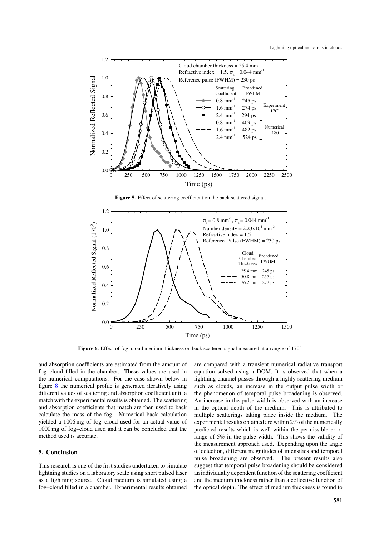<span id="page-7-0"></span>

Figure 5. Effect of scattering coefficient on the back scattered signal.



**Figure 6.** Effect of fog–cloud medium thickness on back scattered signal measured at an angle of 170◦.

and absorption coefficients are estimated from the amount of fog–cloud filled in the chamber. These values are used in the numerical computations. For the case shown below in figure [8](#page-8-0) the numerical profile is generated iteratively using different values of scattering and absorption coefficient until a match with the experimental results is obtained. The scattering and absorption coefficients that match are then used to back calculate the mass of the fog. Numerical back calculation yielded a 1006 mg of fog–cloud used for an actual value of 1000 mg of fog–cloud used and it can be concluded that the method used is accurate.

## **5. Conclusion**

This research is one of the first studies undertaken to simulate lightning studies on a laboratory scale using short pulsed laser as a lightning source. Cloud medium is simulated using a fog–cloud filled in a chamber. Experimental results obtained

are compared with a transient numerical radiative transport equation solved using a DOM. It is observed that when a lightning channel passes through a highly scattering medium such as clouds, an increase in the output pulse width or the phenomenon of temporal pulse broadening is observed. An increase in the pulse width is observed with an increase in the optical depth of the medium. This is attributed to multiple scatterings taking place inside the medium. The experimental results obtained are within 2% of the numerically predicted results which is well within the permissible error range of 5% in the pulse width. This shows the validity of the measurement approach used. Depending upon the angle of detection, different magnitudes of intensities and temporal pulse broadening are observed. The present results also suggest that temporal pulse broadening should be considered an individually dependent function of the scattering coefficient and the medium thickness rather than a collective function of the optical depth. The effect of medium thickness is found to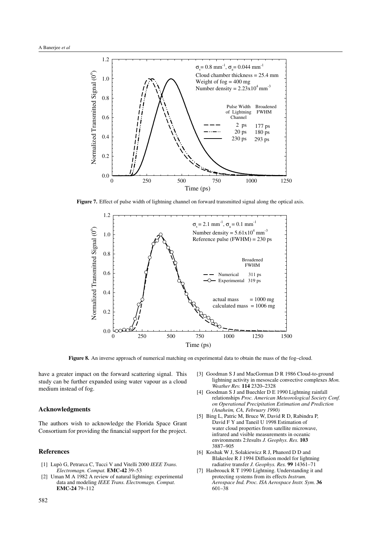<span id="page-8-0"></span>

Figure 7. Effect of pulse width of lightning channel on forward transmitted signal along the optical axis.



**Figure 8.** An inverse approach of numerical matching on experimental data to obtain the mass of the fog–cloud.

have a greater impact on the forward scattering signal. This study can be further expanded using water vapour as a cloud medium instead of fog.

# **Acknowledgments**

The authors wish to acknowledge the Florida Space Grant Consortium for providing the financial support for the project.

# **References**

- [1] Lupò G, Petrarca C, Tucci V and Vitelli 2000 *IEEE Trans*. *Electromagn. Compat.* **EMC-42** 39–53
- [2] Uman M A 1982 A review of natural lightning: experimental data and modeling *IEEE Trans. Electromagn. Compat.* **EMC-24** 79–112
- [3] Goodman S J and MacGorman D R 1986 Cloud-to-ground lightning activity in mesoscale convective complexes *Mon. Weather Rev.* **114** 2320–2328
- [4] Goodman S J and Buechler D E 1990 Lightning rainfall relationships *Proc. American Meteorological Society Conf. on Operational Precipitation Estimation and Prediction (Anaheim, CA, February 1990)*
- [5] Bing L, Patric M, Bruce W, David R D, Rabindra P, David F Y and Taneil U 1998 Estimation of water cloud properties from satellite microwave, infrared and visible measurements in oceanic environments 2:˜results *J. Geophys. Res.* **103** 3887–905
- [6] Koshak W J, Solakiewicz R J, Phanord D D and Blakeslee R J 1994 Diffusion model for lightning radiative transfer *J. Geophys. Res.* **99** 14361–71
- [7] Hasbrouck R T 1990 Lightning. Understanding it and protecting systems from its effects *Instrum. Aerospace Ind. Proc. ISA Aerospace Instr. Sym.* **36** 601–38